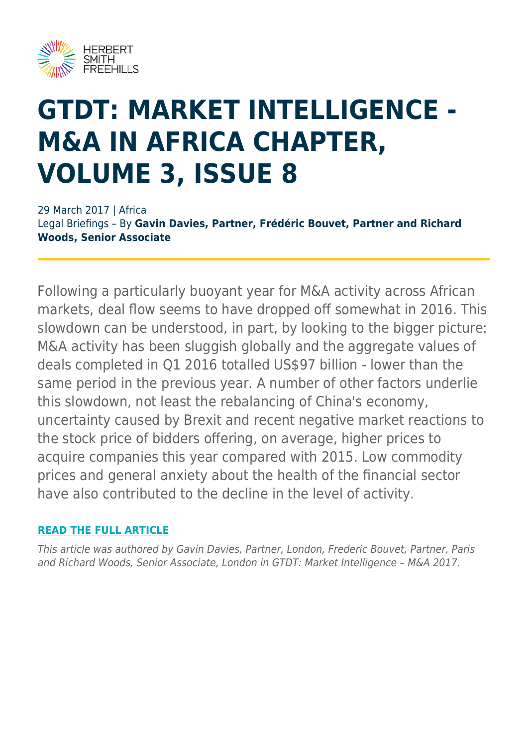

## **GTDT: MARKET INTELLIGENCE - M&A IN AFRICA CHAPTER, VOLUME 3, ISSUE 8**

29 March 2017 | Africa Legal Briefings – By **Gavin Davies, Partner, Frédéric Bouvet, Partner and Richard Woods, Senior Associate**

Following a particularly buoyant year for M&A activity across African markets, deal flow seems to have dropped off somewhat in 2016. This slowdown can be understood, in part, by looking to the bigger picture: M&A activity has been sluggish globally and the aggregate values of deals completed in Q1 2016 totalled US\$97 billion - lower than the same period in the previous year. A number of other factors underlie this slowdown, not least the rebalancing of China's economy, uncertainty caused by Brexit and recent negative market reactions to the stock price of bidders offering, on average, higher prices to acquire companies this year compared with 2015. Low commodity prices and general anxiety about the health of the financial sector have also contributed to the decline in the level of activity.

## **[READ THE FULL ARTICLE](https://www.herbertsmithfreehills.com/file/18201/download?token=wRIXXFTV)**

This article was authored by Gavin Davies, Partner, London, Frederic Bouvet, Partner, Paris and Richard Woods, Senior Associate, London in GTDT: Market Intelligence – M&A 2017.